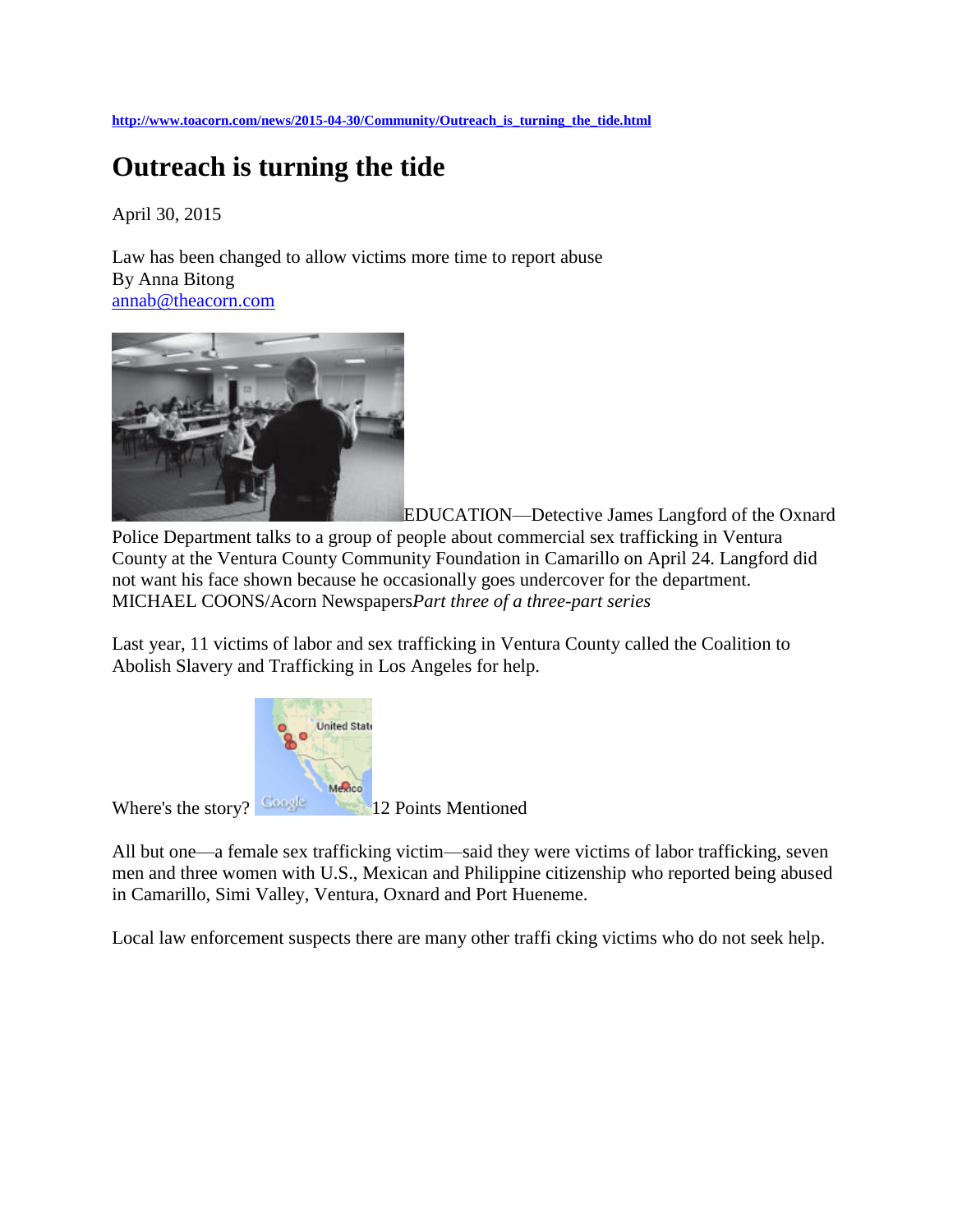**[http://www.toacorn.com/news/2015-04-30/Community/Outreach\\_is\\_turning\\_the\\_tide.html](http://www.toacorn.com/news/2015-04-30/Community/Outreach_is_turning_the_tide.html)**

## **Outreach is turning the tide**

April 30, 2015

Law has been changed to allow victims more time to report abuse By Anna Bitong [annab@theacorn.com](mailto:annab@theacorn.com)



[E](http://www.toacorn.com/sites/www.toacorn.com/files/images/2015-04-30/23p1.jpg)DUCATION—Detective James Langford of the Oxnard Police Department talks to a group of people about commercial sex trafficking in Ventura County at the Ventura County Community Foundation in Camarillo on April 24. Langford did not want his face shown because he occasionally goes undercover for the department. MICHAEL COONS/Acorn Newspapers*Part three of a three-part series*

Last year, 11 victims of labor and sex trafficking in Ventura County called the Coalition to Abolish Slavery and Trafficking in Los Angeles for help.



Where's the story? **Coule 12 Points Mentioned** 

All but one—a female sex trafficking victim—said they were victims of labor trafficking, seven men and three women with U.S., Mexican and Philippine citizenship who reported being abused in Camarillo, Simi Valley, Ventura, Oxnard and Port Hueneme.

Local law enforcement suspects there are many other traffi cking victims who do not seek help.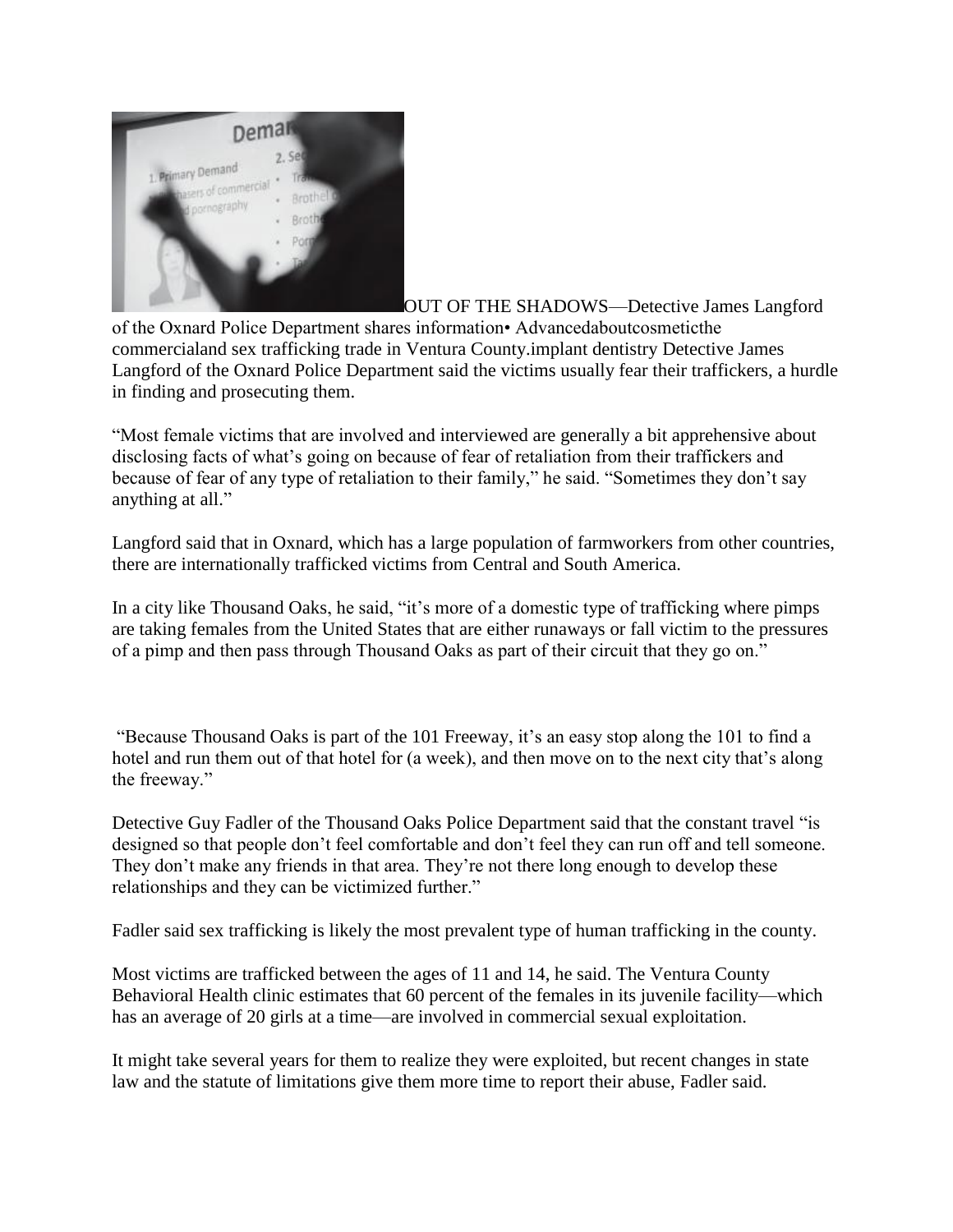

[O](http://www.toacorn.com/sites/www.toacorn.com/files/images/2015-04-30/23p2.jpg)UT OF THE SHADOWS—Detective James Langford of the Oxnard Police Department shares information• Advancedaboutcosmeticthe commercialand sex trafficking trade in Ventura County.implant dentistry Detective James Langford of the Oxnard Police Department said the victims usually fear their traffickers, a hurdle in finding and prosecuting them.

"Most female victims that are involved and interviewed are generally a bit apprehensive about disclosing facts of what's going on because of fear of retaliation from their traffickers and because of fear of any type of retaliation to their family," he said. "Sometimes they don't say anything at all."

Langford said that in Oxnard, which has a large population of farmworkers from other countries, there are internationally trafficked victims from Central and South America.

In a city like Thousand Oaks, he said, "it's more of a domestic type of trafficking where pimps are taking females from the United States that are either runaways or fall victim to the pressures of a pimp and then pass through Thousand Oaks as part of their circuit that they go on."

"Because Thousand Oaks is part of the 101 Freeway, it's an easy stop along the 101 to find a hotel and run them out of that hotel for (a week), and then move on to the next city that's along the freeway."

Detective Guy Fadler of the Thousand Oaks Police Department said that the constant travel "is designed so that people don't feel comfortable and don't feel they can run off and tell someone. They don't make any friends in that area. They're not there long enough to develop these relationships and they can be victimized further."

Fadler said sex trafficking is likely the most prevalent type of human trafficking in the county.

Most victims are trafficked between the ages of 11 and 14, he said. The Ventura County Behavioral Health clinic estimates that 60 percent of the females in its juvenile facility—which has an average of 20 girls at a time—are involved in commercial sexual exploitation.

It might take several years for them to realize they were exploited, but recent changes in state law and the statute of limitations give them more time to report their abuse, Fadler said.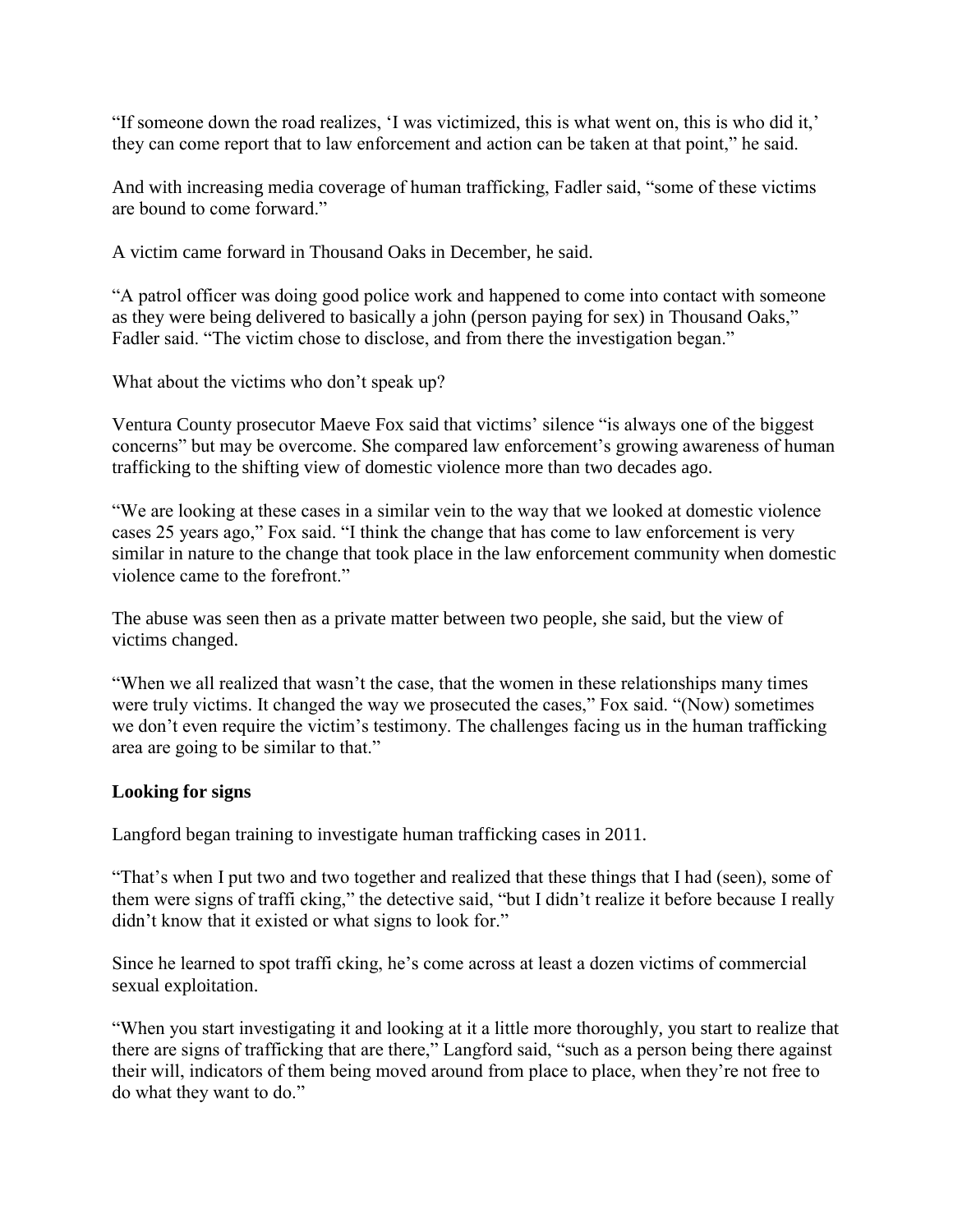"If someone down the road realizes, 'I was victimized, this is what went on, this is who did it,' they can come report that to law enforcement and action can be taken at that point," he said.

And with increasing media coverage of human trafficking, Fadler said, "some of these victims are bound to come forward."

A victim came forward in Thousand Oaks in December, he said.

"A patrol officer was doing good police work and happened to come into contact with someone as they were being delivered to basically a john (person paying for sex) in Thousand Oaks," Fadler said. "The victim chose to disclose, and from there the investigation began."

What about the victims who don't speak up?

Ventura County prosecutor Maeve Fox said that victims' silence "is always one of the biggest concerns" but may be overcome. She compared law enforcement's growing awareness of human trafficking to the shifting view of domestic violence more than two decades ago.

"We are looking at these cases in a similar vein to the way that we looked at domestic violence cases 25 years ago," Fox said. "I think the change that has come to law enforcement is very similar in nature to the change that took place in the law enforcement community when domestic violence came to the forefront."

The abuse was seen then as a private matter between two people, she said, but the view of victims changed.

"When we all realized that wasn't the case, that the women in these relationships many times were truly victims. It changed the way we prosecuted the cases," Fox said. "(Now) sometimes we don't even require the victim's testimony. The challenges facing us in the human trafficking area are going to be similar to that."

## **Looking for signs**

Langford began training to investigate human trafficking cases in 2011.

"That's when I put two and two together and realized that these things that I had (seen), some of them were signs of traffi cking," the detective said, "but I didn't realize it before because I really didn't know that it existed or what signs to look for."

Since he learned to spot traffi cking, he's come across at least a dozen victims of commercial sexual exploitation.

"When you start investigating it and looking at it a little more thoroughly, you start to realize that there are signs of trafficking that are there," Langford said, "such as a person being there against their will, indicators of them being moved around from place to place, when they're not free to do what they want to do."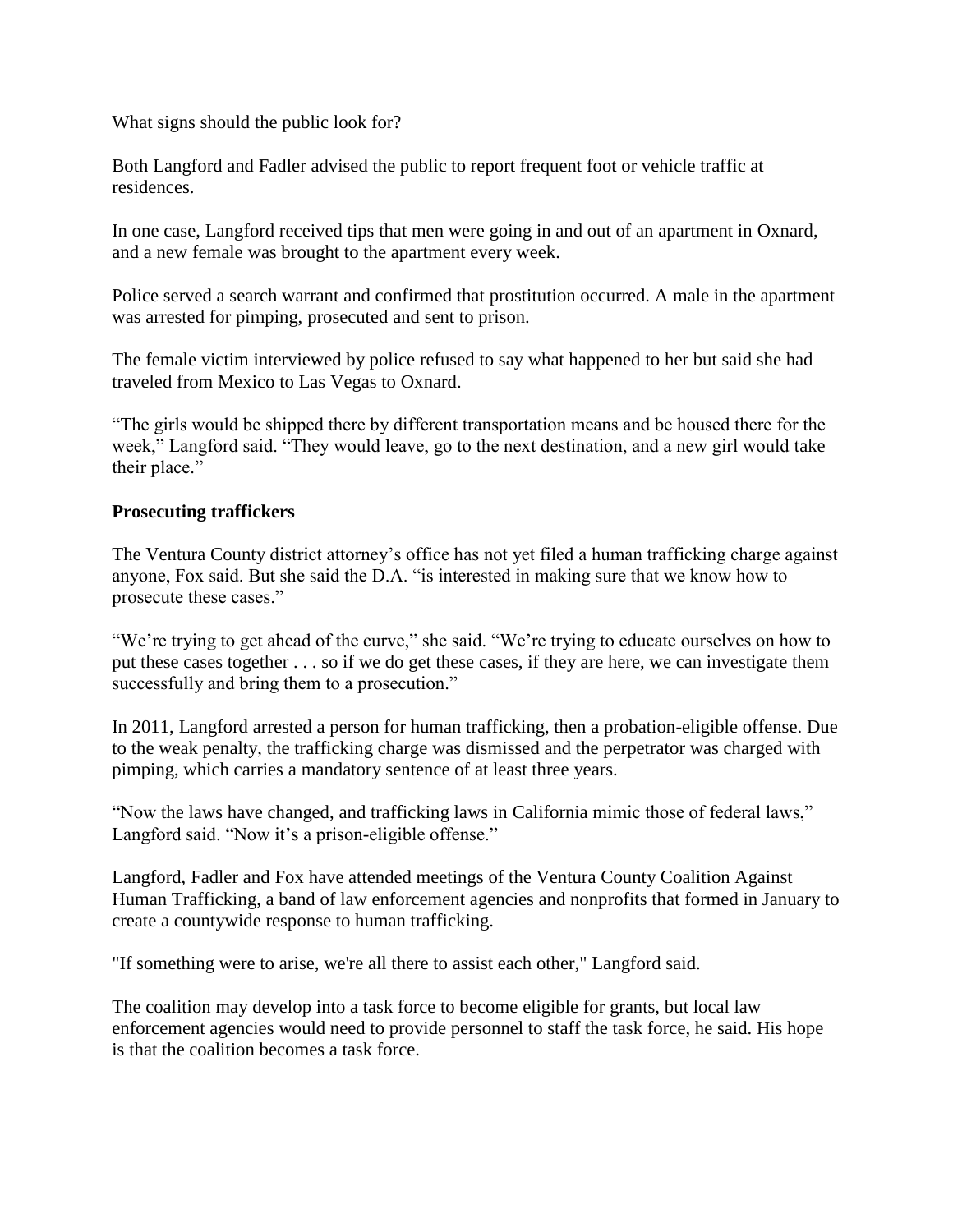What signs should the public look for?

Both Langford and Fadler advised the public to report frequent foot or vehicle traffic at residences.

In one case, Langford received tips that men were going in and out of an apartment in Oxnard, and a new female was brought to the apartment every week.

Police served a search warrant and confirmed that prostitution occurred. A male in the apartment was arrested for pimping, prosecuted and sent to prison.

The female victim interviewed by police refused to say what happened to her but said she had traveled from Mexico to Las Vegas to Oxnard.

"The girls would be shipped there by different transportation means and be housed there for the week," Langford said. "They would leave, go to the next destination, and a new girl would take their place."

## **Prosecuting traffickers**

The Ventura County district attorney's office has not yet filed a human trafficking charge against anyone, Fox said. But she said the D.A. "is interested in making sure that we know how to prosecute these cases."

"We're trying to get ahead of the curve," she said. "We're trying to educate ourselves on how to put these cases together . . . so if we do get these cases, if they are here, we can investigate them successfully and bring them to a prosecution."

In 2011, Langford arrested a person for human trafficking, then a probation-eligible offense. Due to the weak penalty, the trafficking charge was dismissed and the perpetrator was charged with pimping, which carries a mandatory sentence of at least three years.

"Now the laws have changed, and trafficking laws in California mimic those of federal laws," Langford said. "Now it's a prison-eligible offense."

Langford, Fadler and Fox have attended meetings of the Ventura County Coalition Against Human Trafficking, a band of law enforcement agencies and nonprofits that formed in January to create a countywide response to human trafficking.

"If something were to arise, we're all there to assist each other," Langford said.

The coalition may develop into a task force to become eligible for grants, but local law enforcement agencies would need to provide personnel to staff the task force, he said. His hope is that the coalition becomes a task force.